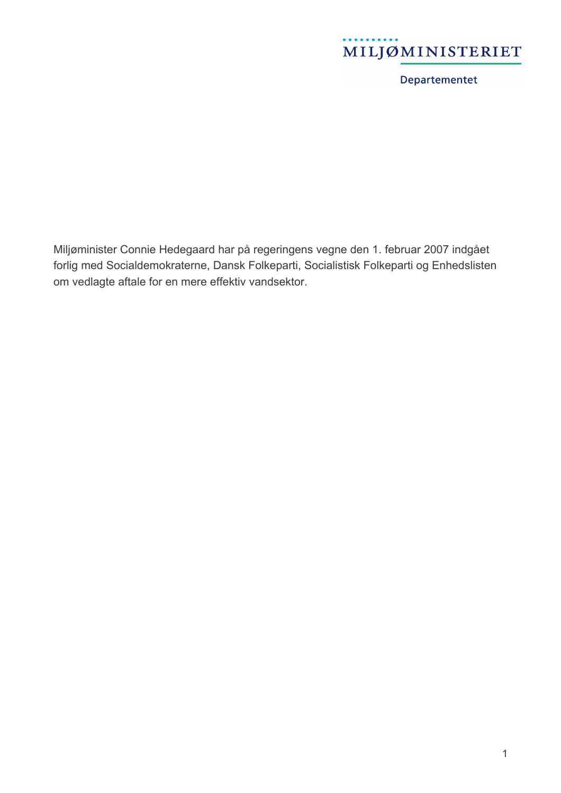# MILJØMINISTERIET

Departementet

Miljøminister Connie Hedegaard har på regeringens vegne den 1. februar 2007 indgået forlig med Socialdemokraterne, Dansk Folkeparti, Socialistisk Folkeparti og Enhedslisten om vedlagte aftale for en mere effektiv vandsektor.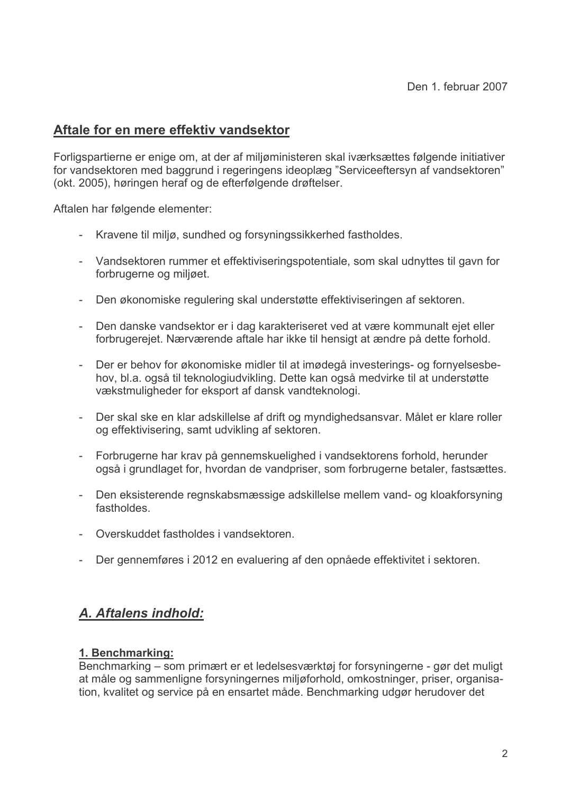# Aftale for en mere effektiv vandsektor

Forligspartierne er enige om, at der af miljøministeren skal iværksættes følgende initiativer for vandsektoren med baggrund i regeringens ideoplæg "Serviceeftersyn af vandsektoren" (okt. 2005), høringen heraf og de efterfølgende drøftelser.

Aftalen har følgende elementer:

- Kravene til miliø, sundhed og forsvningssikkerhed fastholdes.  $\omega_{\rm{max}}$
- Vandsektoren rummer et effektiviseringspotentiale, som skal udnyttes til gavn for forbrugerne og miljøet.
- Den økonomiske regulering skal understøtte effektiviseringen af sektoren.  $\mathbf{L}^{\text{max}}$
- Den danske vandsektor er i dag karakteriseret ved at være kommunalt ejet eller forbrugerejet. Nærværende aftale har ikke til hensigt at ændre på dette forhold.
- Der er behov for økonomiske midler til at imødegå investerings- og fornyelsesbehov, bl.a. også til teknologiudvikling. Dette kan også medvirke til at understøtte vækstmuligheder for eksport af dansk vandteknologi.
- Der skal ske en klar adskillelse af drift og myndighedsansvar. Målet er klare roller  $\omega_{\rm{max}}$ og effektivisering, samt udvikling af sektoren.
- Forbrugerne har krav på gennemskuelighed i vandsektorens forhold, herunder  $\mathbf{r}$ også i grundlaget for, hvordan de vandpriser, som forbrugerne betaler, fastsættes.
- Den eksisterende regnskabsmæssige adskillelse mellem vand- og kloakforsyning  $\mathbf{L}^{\text{max}}$ fastholdes
- Overskuddet fastholdes i vandsektoren.
- Der gennemføres i 2012 en evaluering af den opnåede effektivitet i sektoren.

# A. Aftalens indhold:

## 1. Benchmarking:

Benchmarking – som primært er et ledelsesværktøj for forsyningerne - gør det muligt at måle og sammenligne forsyningernes miljøforhold, omkostninger, priser, organisation, kvalitet og service på en ensartet måde. Benchmarking udgør herudover det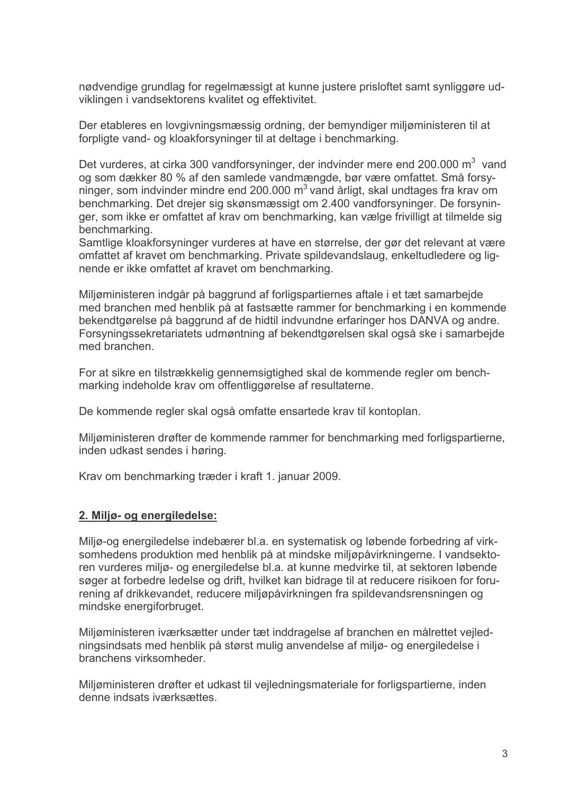nødvendige grundlag for regelmæssigt at kunne justere prisloftet samt synliggøre udviklingen i vandsektorens kvalitet og effektivitet.

Der etableres en lovgivningsmæssig ordning, der bemyndiger miljøministeren til at forpligte vand- og kloakforsyninger til at deltage i benchmarking.

Det vurderes, at cirka 300 vandforsyninger, der indvinder mere end 200.000 m<sup>3</sup> vand og som dækker 80 % af den samlede vandmængde, bør være omfattet. Små forsyninger, som indvinder mindre end 200.000 m<sup>3</sup> vand årligt, skal undtages fra krav om benchmarking. Det drejer sig skønsmæssigt om 2.400 vandforsyninger. De forsyninger, som ikke er omfattet af krav om benchmarking, kan vælge frivilligt at tilmelde sig benchmarking.

Samtlige kloakforsyninger vurderes at have en størrelse, der gør det relevant at være omfattet af kravet om benchmarking. Private spildevandslaug, enkeltudledere og lignende er ikke omfattet af kravet om benchmarking.

Miljøministeren indgår på baggrund af forligspartiernes aftale i et tæt samarbejde med branchen med henblik på at fastsætte rammer for benchmarking i en kommende bekendtgørelse på baggrund af de hidtil indvundne erfaringer hos DANVA og andre. Forsyningssekretariatets udmøntning af bekendtgørelsen skal også ske i samarbejde med branchen.

For at sikre en tilstrækkelig gennemsigtighed skal de kommende regler om benchmarking indeholde krav om offentliggørelse af resultaterne.

De kommende regler skal også omfatte ensartede krav til kontoplan.

Miljøministeren drøfter de kommende rammer for benchmarking med forligspartierne, inden udkast sendes i høring.

Krav om benchmarking træder i kraft 1. januar 2009.

#### 2. Miljø- og energiledelse:

Miliø-og energiledelse indebærer bl.a. en systematisk og løbende forbedring af virksomhedens produktion med henblik på at mindske miliøpåvirkningerne. I vandsektoren vurderes miljø- og energiledelse bl.a. at kunne medvirke til, at sektoren løbende søger at forbedre ledelse og drift, hvilket kan bidrage til at reducere risikoen for forurening af drikkevandet, reducere miljøpåvirkningen fra spildevandsrensningen og mindske energiforbruget.

Miljøministeren iværksætter under tæt inddragelse af branchen en målrettet vejledningsindsats med henblik på størst mulig anvendelse af miljø- og energiledelse i branchens virksomheder

Miljøministeren drøfter et udkast til vejledningsmateriale for forligspartierne, inden denne indsats iværksættes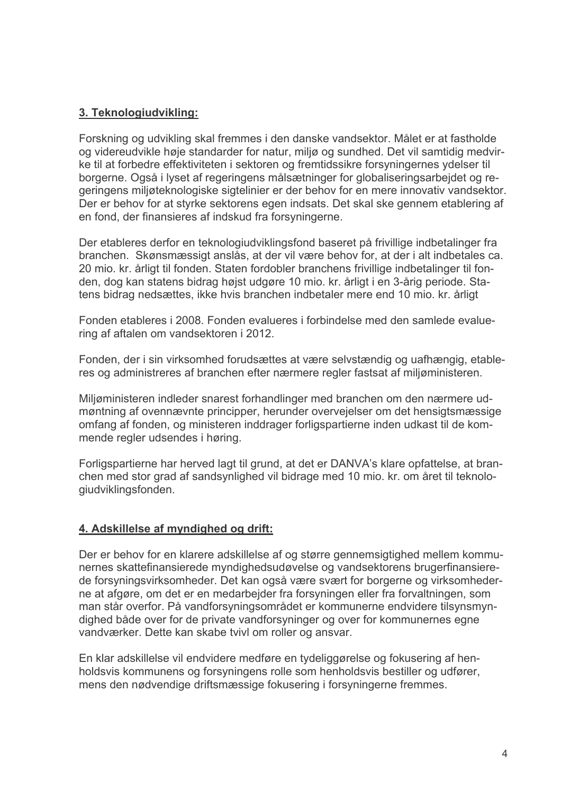# 3. Teknologiudvikling:

Forskning og udvikling skal fremmes i den danske vandsektor. Målet er at fastholde og videreudvikle høje standarder for natur, miljø og sundhed. Det vil samtidig medvirke til at forbedre effektiviteten i sektoren og fremtidssikre forsyningernes ydelser til borgerne. Også i lyset af regeringens målsætninger for globaliseringsarbeidet og regeringens miljøteknologiske sigtelinier er der behov for en mere innovativ vandsektor. Der er behov for at styrke sektorens egen indsats. Det skal ske gennem etablering af en fond, der finansieres af indskud fra forsyningerne.

Der etableres derfor en teknologiudviklingsfond baseret på frivillige indbetalinger fra branchen. Skønsmæssigt anslås, at der vil være behov for, at der i alt indbetales ca. 20 mio. kr. årligt til fonden. Staten fordobler branchens frivillige indbetalinger til fonden, dog kan statens bidrag højst udgøre 10 mio. kr. årligt i en 3-årig periode. Statens bidrag nedsættes, ikke hvis branchen indbetaler mere end 10 mio. kr. årligt

Fonden etableres i 2008. Fonden evalueres i forbindelse med den samlede evaluering af aftalen om vandsektoren i 2012.

Fonden, der i sin virksomhed forudsættes at være selvstændig og uafhængig, etableres og administreres af branchen efter nærmere regler fastsat af miljøministeren.

Miljøministeren indleder snarest forhandlinger med branchen om den nærmere udmøntning af ovennævnte principper, herunder overvejelser om det hensigtsmæssige omfang af fonden, og ministeren inddrager forligspartierne inden udkast til de kommende regler udsendes i høring.

Forligspartierne har herved lagt til grund, at det er DANVA's klare opfattelse, at branchen med stor grad af sandsynlighed vil bidrage med 10 mio. kr. om året til teknologiudviklingsfonden.

## 4. Adskillelse af myndighed og drift:

Der er behov for en klarere adskillelse af og større gennemsigtighed mellem kommunernes skattefinansierede myndighedsudøvelse og vandsektorens brugerfinansierede forsyningsvirksomheder. Det kan også være svært for borgerne og virksomhederne at afgøre, om det er en medarbejder fra forsyningen eller fra forvaltningen, som man står overfor. På vandforsyningsområdet er kommunerne endvidere tilsynsmyndighed både over for de private vandforsyninger og over for kommunernes egne vandværker. Dette kan skabe tvivl om roller og ansvar.

En klar adskillelse vil endvidere medføre en tydeliggørelse og fokusering af henholdsvis kommunens og forsyningens rolle som henholdsvis bestiller og udfører, mens den nødvendige driftsmæssige fokusering i forsyningerne fremmes.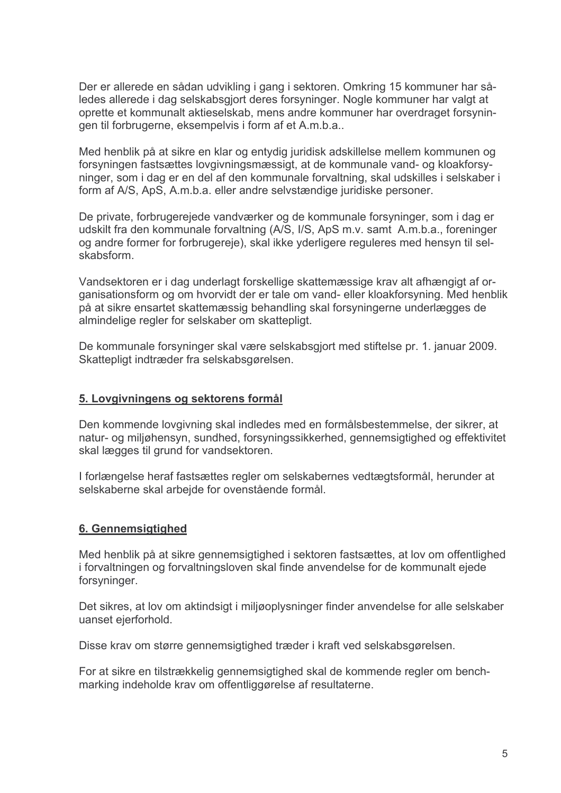Der er allerede en sådan udvikling i gang i sektoren. Omkring 15 kommuner har således allerede i dag selskabsgjort deres forsyninger. Nogle kommuner har valgt at oprette et kommunalt aktieselskab, mens andre kommuner har overdraget forsyningen til forbrugerne, eksempelvis i form af et A.m.b.a..

Med henblik på at sikre en klar og entydig juridisk adskillelse mellem kommunen og forsyningen fastsættes lovgivningsmæssigt, at de kommunale vand- og kloakforsyninger, som i dag er en del af den kommunale forvaltning, skal udskilles i selskaber i form af A/S, ApS, A.m.b.a. eller andre selvstændige juridiske personer.

De private, forbrugerejede vandværker og de kommunale forsyninger, som i dag er udskilt fra den kommunale forvaltning (A/S, I/S, ApS m.v. samt A.m.b.a., foreninger og andre former for forbrugereje), skal ikke yderligere reguleres med hensyn til selskabsform

Vandsektoren er i dag underlagt forskellige skattemæssige krav alt afhængigt af organisationsform og om hvorvidt der er tale om vand- eller kloakforsvning. Med henblik på at sikre ensartet skattemæssig behandling skal forsyningerne underlægges de almindelige regler for selskaber om skattepligt.

De kommunale forsyninger skal være selskabsgjort med stiftelse pr. 1. januar 2009. Skattepligt indtræder fra selskabsgørelsen.

#### 5. Lovgivningens og sektorens formål

Den kommende lovgivning skal indledes med en formålsbestemmelse, der sikrer, at natur- og miljøhensyn, sundhed, forsyningssikkerhed, gennemsigtighed og effektivitet skal lægges til grund for vandsektoren.

I forlængelse heraf fastsættes regler om selskabernes vedtægtsformål, herunder at selskaberne skal arbeide for ovenstående formål.

## 6. Gennemsigtighed

Med henblik på at sikre gennemsigtighed i sektoren fastsættes, at lov om offentlighed i forvaltningen og forvaltningsloven skal finde anvendelse for de kommunalt ejede forsyninger.

Det sikres, at lov om aktindsigt i miljøoplysninger finder anvendelse for alle selskaber uanset ejerforhold.

Disse krav om større gennemsigtighed træder i kraft ved selskabsgørelsen.

For at sikre en tilstrækkelig gennemsigtighed skal de kommende regler om benchmarking indeholde krav om offentliggørelse af resultaterne.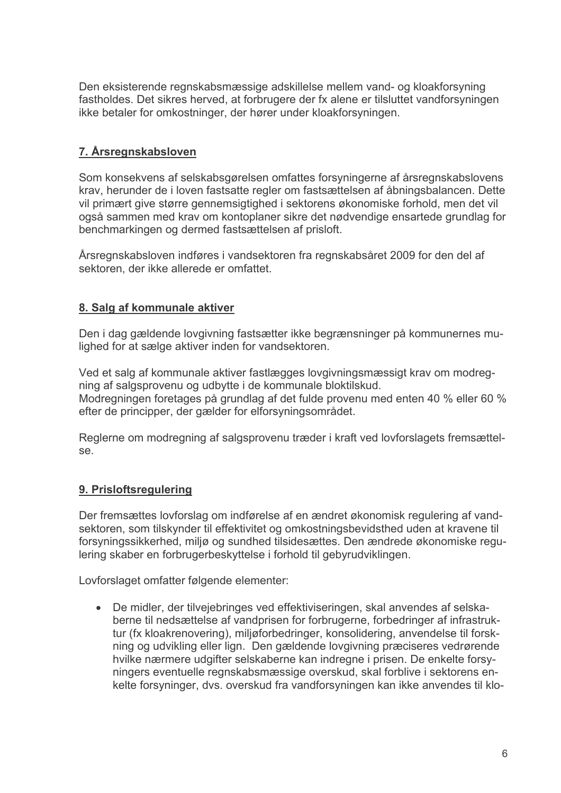Den eksisterende regnskabsmæssige adskillelse mellem vand- og kloakforsyning fastholdes. Det sikres herved, at forbrugere der fx alene er tilsluttet vandforsyningen ikke betaler for omkostninger, der hører under kloakforsyningen.

# 7. Årsregnskabsloven

Som konsekvens af selskabsgørelsen omfattes forsyningerne af årsregnskabslovens krav, herunder de i loven fastsatte regler om fastsættelsen af åbningsbalancen. Dette vil primært give større gennemsigtighed i sektorens økonomiske forhold, men det vil også sammen med krav om kontoplaner sikre det nødvendige ensartede grundlag for benchmarkingen og dermed fastsættelsen af prisloft.

Årsregnskabsloven indføres i vandsektoren fra regnskabsåret 2009 for den del af sektoren, der ikke allerede er omfattet.

#### 8. Salg af kommunale aktiver

Den i dag gældende lovgivning fastsætter ikke begrænsninger på kommunernes mulighed for at sælge aktiver inden for vandsektoren.

Ved et salg af kommunale aktiver fastlægges lovgivningsmæssigt krav om modregning af salgsprovenu og udbytte i de kommunale bloktilskud. Modregningen foretages på grundlag af det fulde provenu med enten 40 % eller 60 % efter de principper, der gælder for elforsyningsområdet.

Reglerne om modregning af salgsprovenu træder i kraft ved lovforslagets fremsættelse.

## 9. Prisloftsregulering

Der fremsættes lovforslag om indførelse af en ændret økonomisk regulering af vandsektoren, som tilskynder til effektivitet og omkostningsbevidsthed uden at kravene til forsyningssikkerhed, milig og sundhed tilsidesættes. Den ændrede økonomiske regulering skaber en forbrugerbeskyttelse i forhold til gebyrudviklingen.

Lovforslaget omfatter følgende elementer:

• De midler, der tilvejebringes ved effektiviseringen, skal anvendes af selskaberne til nedsættelse af vandprisen for forbrugerne, forbedringer af infrastruktur (fx kloakrenovering), miljøforbedringer, konsolidering, anvendelse til forskning og udvikling eller lign. Den gældende lovgivning præciseres vedrørende hvilke nærmere udgifter selskaberne kan indregne i prisen. De enkelte forsyningers eventuelle regnskabsmæssige overskud, skal forblive i sektorens enkelte forsyninger, dvs. overskud fra vandforsyningen kan ikke anvendes til klo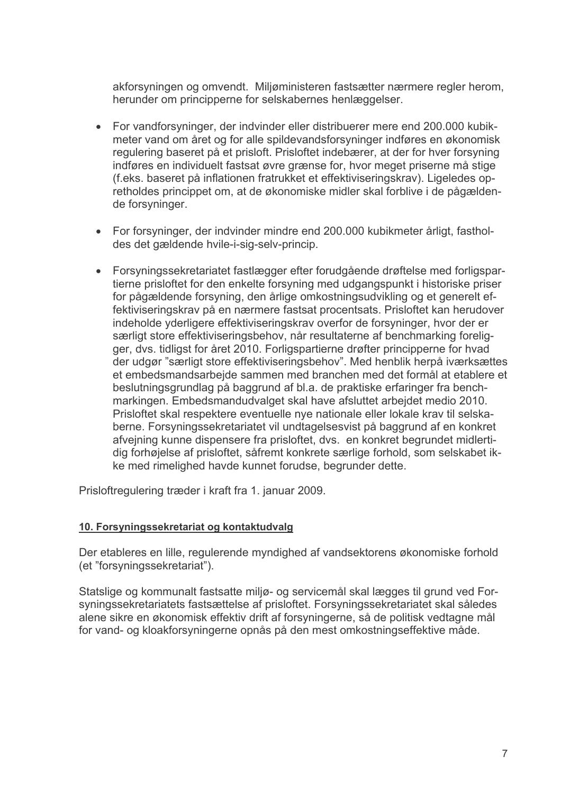akforsyningen og omvendt. Miljøministeren fastsætter nærmere regler herom, herunder om principperne for selskabernes henlæggelser.

- For vandforsyninger, der indvinder eller distribuerer mere end 200.000 kubikmeter vand om året og for alle spildevandsforsyninger indføres en økonomisk regulering baseret på et prisloft. Prisloftet indebærer, at der for hver forsyning indføres en individuelt fastsat øvre grænse for, hvor meget priserne må stige (f.eks. baseret på inflationen fratrukket et effektiviseringskrav). Ligeledes opretholdes princippet om, at de økonomiske midler skal forblive i de pågældende forsyninger.
- For forsyninger, der indvinder mindre end 200.000 kubikmeter årligt, fastholdes det gældende hvile-i-sig-selv-princip.
- Forsyningssekretariatet fastlægger efter forudgående drøftelse med forligspartierne prisloftet for den enkelte forsyning med udgangspunkt i historiske priser for pågældende forsyning, den årlige omkostningsudvikling og et generelt effektiviseringskrav på en nærmere fastsat procentsats. Prisloftet kan herudover indeholde yderligere effektiviseringskrav overfor de forsyninger, hvor der er særligt store effektiviseringsbehov, når resultaterne af benchmarking foreligger, dvs. tidligst for året 2010. Forligspartierne drøfter principperne for hvad der udgør "særligt store effektiviseringsbehov". Med henblik herpå iværksættes et embedsmandsarbejde sammen med branchen med det formål at etablere et beslutningsgrundlag på baggrund af bl.a. de praktiske erfaringer fra benchmarkingen. Embedsmandudvalget skal have afsluttet arbeidet medio 2010. Prisloftet skal respektere eventuelle nye nationale eller lokale krav til selskaberne. Forsyningssekretariatet vil undtagelsesvist på baggrund af en konkret afveining kunne dispensere fra prisloftet, dys. en konkret begrundet midlertidig forhøjelse af prisloftet, såfremt konkrete særlige forhold, som selskabet ikke med rimelighed havde kunnet forudse, begrunder dette.

Prisloftregulering træder i kraft fra 1. januar 2009.

#### 10. Forsyningssekretariat og kontaktudvalg

Der etableres en lille, regulerende myndighed af vandsektorens økonomiske forhold (et "forsyningssekretariat").

Statslige og kommunalt fastsatte miljø- og servicemål skal lægges til grund ved Forsyningssekretariatets fastsættelse af prisloftet. Forsyningssekretariatet skal således alene sikre en økonomisk effektiv drift af forsyningerne, så de politisk vedtagne mål for vand- og kloakforsyningerne opnås på den mest omkostningseffektive måde.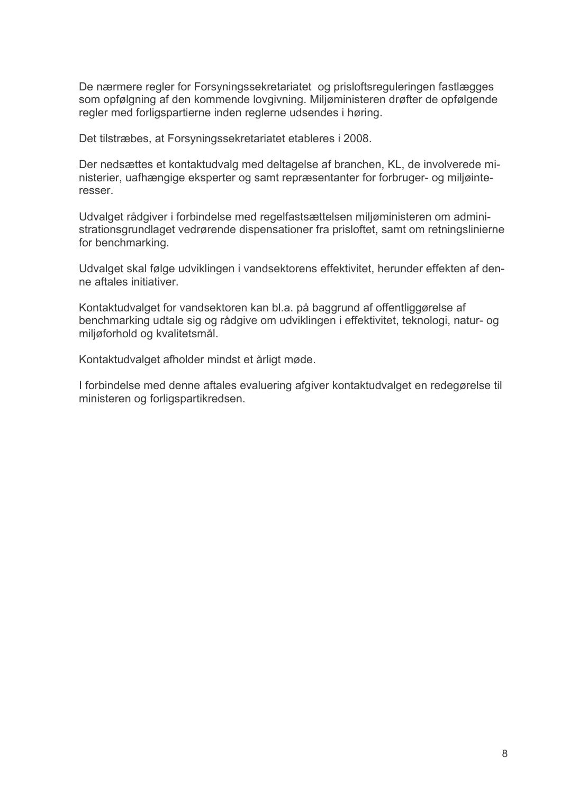De nærmere regler for Forsyningssekretariatet og prisloftsreguleringen fastlægges som opfølgning af den kommende lovgivning. Miljøministeren drøfter de opfølgende regler med forligspartierne inden reglerne udsendes i høring.

Det tilstræbes, at Forsyningssekretariatet etableres i 2008.

Der nedsættes et kontaktudvalg med deltagelse af branchen, KL, de involverede ministerier, uafhængige eksperter og samt repræsentanter for forbruger- og miljøinteresser.

Udvalget rådgiver i forbindelse med regelfastsættelsen miljøministeren om administrationsgrundlaget vedrørende dispensationer fra prisloftet, samt om retningslinierne for benchmarking.

Udvalget skal følge udviklingen i vandsektorens effektivitet, herunder effekten af denne aftales initiativer.

Kontaktudvalget for vandsektoren kan bl.a. på baggrund af offentliggørelse af benchmarking udtale sig og rådgive om udviklingen i effektivitet, teknologi, natur- og miljøforhold og kvalitetsmål.

Kontaktudvalget afholder mindst et årligt møde.

I forbindelse med denne aftales evaluering afgiver kontaktudvalget en redegørelse til ministeren og forligspartikredsen.